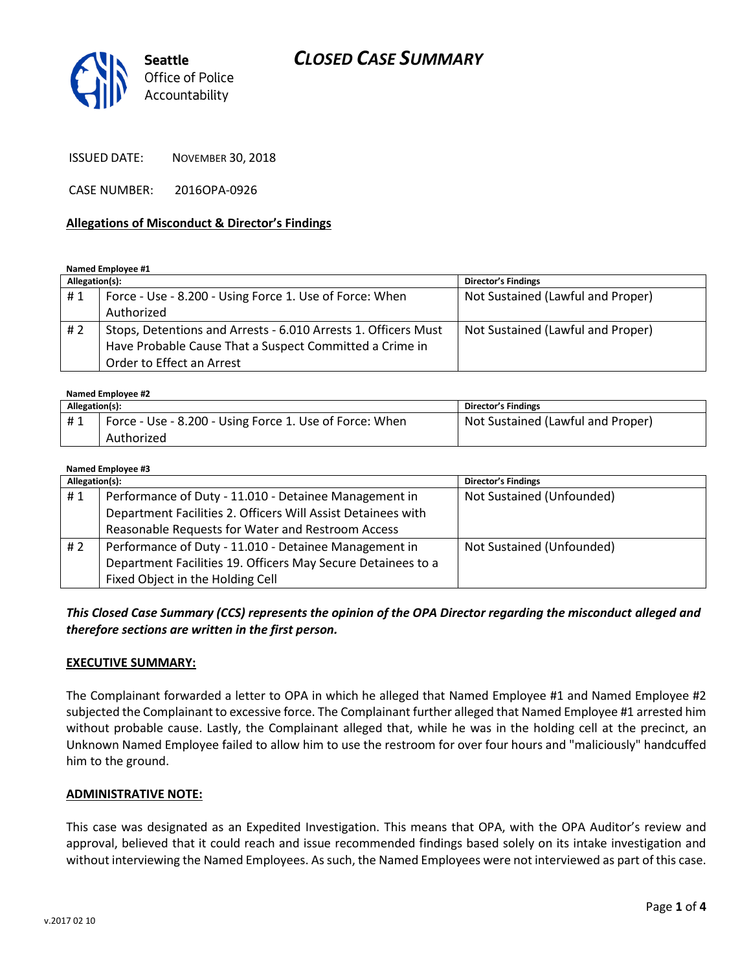## *CLOSED CASE SUMMARY*



ISSUED DATE: NOVEMBER 30, 2018

CASE NUMBER: 2016OPA-0926

#### **Allegations of Misconduct & Director's Findings**

**Named Employee #1**

| Allegation(s): |                                                                | <b>Director's Findings</b>        |
|----------------|----------------------------------------------------------------|-----------------------------------|
| #1             | Force - Use - 8.200 - Using Force 1. Use of Force: When        | Not Sustained (Lawful and Proper) |
|                | Authorized                                                     |                                   |
| # 2            | Stops, Detentions and Arrests - 6.010 Arrests 1. Officers Must | Not Sustained (Lawful and Proper) |
|                | Have Probable Cause That a Suspect Committed a Crime in        |                                   |
|                | Order to Effect an Arrest                                      |                                   |

**Named Employee #2**

| Allegation(s): |                                                         | <b>Director's Findings</b>        |
|----------------|---------------------------------------------------------|-----------------------------------|
| #1             | Force - Use - 8.200 - Using Force 1. Use of Force: When | Not Sustained (Lawful and Proper) |
|                | Authorized                                              |                                   |

| Named Employee #3 |                                                              |                            |  |  |
|-------------------|--------------------------------------------------------------|----------------------------|--|--|
| Allegation(s):    |                                                              | <b>Director's Findings</b> |  |  |
| #1                | Performance of Duty - 11.010 - Detainee Management in        | Not Sustained (Unfounded)  |  |  |
|                   | Department Facilities 2. Officers Will Assist Detainees with |                            |  |  |
|                   | Reasonable Requests for Water and Restroom Access            |                            |  |  |
| #2                | Performance of Duty - 11.010 - Detainee Management in        | Not Sustained (Unfounded)  |  |  |
|                   | Department Facilities 19. Officers May Secure Detainees to a |                            |  |  |
|                   | Fixed Object in the Holding Cell                             |                            |  |  |

*This Closed Case Summary (CCS) represents the opinion of the OPA Director regarding the misconduct alleged and therefore sections are written in the first person.* 

#### **EXECUTIVE SUMMARY:**

The Complainant forwarded a letter to OPA in which he alleged that Named Employee #1 and Named Employee #2 subjected the Complainant to excessive force. The Complainant further alleged that Named Employee #1 arrested him without probable cause. Lastly, the Complainant alleged that, while he was in the holding cell at the precinct, an Unknown Named Employee failed to allow him to use the restroom for over four hours and "maliciously" handcuffed him to the ground.

#### **ADMINISTRATIVE NOTE:**

This case was designated as an Expedited Investigation. This means that OPA, with the OPA Auditor's review and approval, believed that it could reach and issue recommended findings based solely on its intake investigation and without interviewing the Named Employees. As such, the Named Employees were not interviewed as part of this case.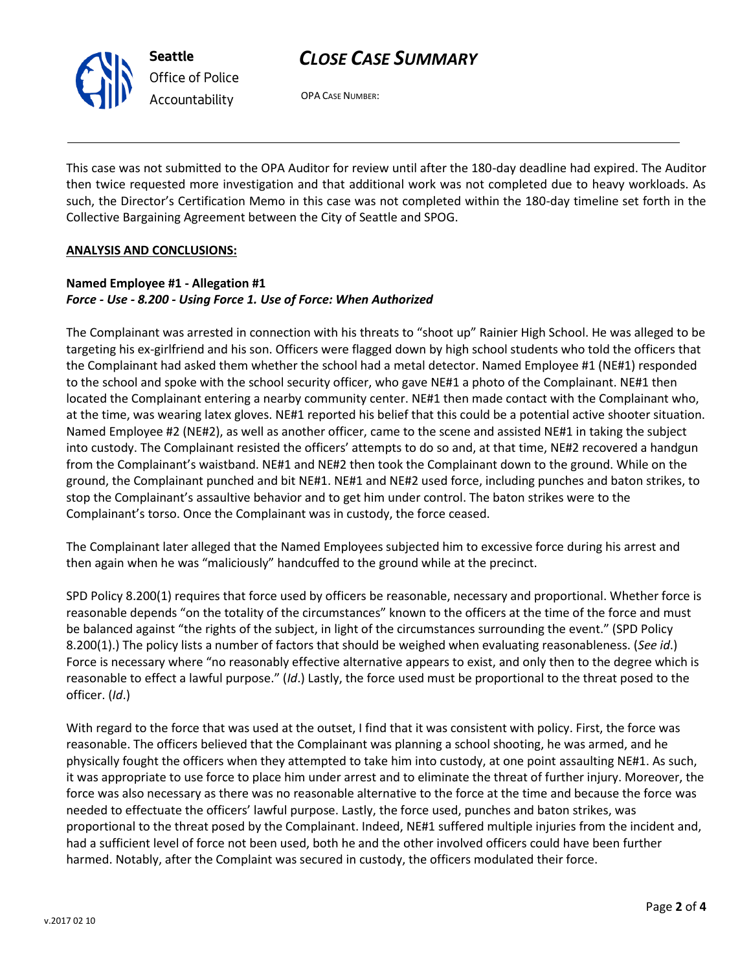# *CLOSE CASE SUMMARY*



OPA CASE NUMBER:

This case was not submitted to the OPA Auditor for review until after the 180-day deadline had expired. The Auditor then twice requested more investigation and that additional work was not completed due to heavy workloads. As such, the Director's Certification Memo in this case was not completed within the 180-day timeline set forth in the Collective Bargaining Agreement between the City of Seattle and SPOG.

#### **ANALYSIS AND CONCLUSIONS:**

### **Named Employee #1 - Allegation #1** *Force - Use - 8.200 - Using Force 1. Use of Force: When Authorized*

The Complainant was arrested in connection with his threats to "shoot up" Rainier High School. He was alleged to be targeting his ex-girlfriend and his son. Officers were flagged down by high school students who told the officers that the Complainant had asked them whether the school had a metal detector. Named Employee #1 (NE#1) responded to the school and spoke with the school security officer, who gave NE#1 a photo of the Complainant. NE#1 then located the Complainant entering a nearby community center. NE#1 then made contact with the Complainant who, at the time, was wearing latex gloves. NE#1 reported his belief that this could be a potential active shooter situation. Named Employee #2 (NE#2), as well as another officer, came to the scene and assisted NE#1 in taking the subject into custody. The Complainant resisted the officers' attempts to do so and, at that time, NE#2 recovered a handgun from the Complainant's waistband. NE#1 and NE#2 then took the Complainant down to the ground. While on the ground, the Complainant punched and bit NE#1. NE#1 and NE#2 used force, including punches and baton strikes, to stop the Complainant's assaultive behavior and to get him under control. The baton strikes were to the Complainant's torso. Once the Complainant was in custody, the force ceased.

The Complainant later alleged that the Named Employees subjected him to excessive force during his arrest and then again when he was "maliciously" handcuffed to the ground while at the precinct.

SPD Policy 8.200(1) requires that force used by officers be reasonable, necessary and proportional. Whether force is reasonable depends "on the totality of the circumstances" known to the officers at the time of the force and must be balanced against "the rights of the subject, in light of the circumstances surrounding the event." (SPD Policy 8.200(1).) The policy lists a number of factors that should be weighed when evaluating reasonableness. (*See id*.) Force is necessary where "no reasonably effective alternative appears to exist, and only then to the degree which is reasonable to effect a lawful purpose." (*Id*.) Lastly, the force used must be proportional to the threat posed to the officer. (*Id*.)

With regard to the force that was used at the outset, I find that it was consistent with policy. First, the force was reasonable. The officers believed that the Complainant was planning a school shooting, he was armed, and he physically fought the officers when they attempted to take him into custody, at one point assaulting NE#1. As such, it was appropriate to use force to place him under arrest and to eliminate the threat of further injury. Moreover, the force was also necessary as there was no reasonable alternative to the force at the time and because the force was needed to effectuate the officers' lawful purpose. Lastly, the force used, punches and baton strikes, was proportional to the threat posed by the Complainant. Indeed, NE#1 suffered multiple injuries from the incident and, had a sufficient level of force not been used, both he and the other involved officers could have been further harmed. Notably, after the Complaint was secured in custody, the officers modulated their force.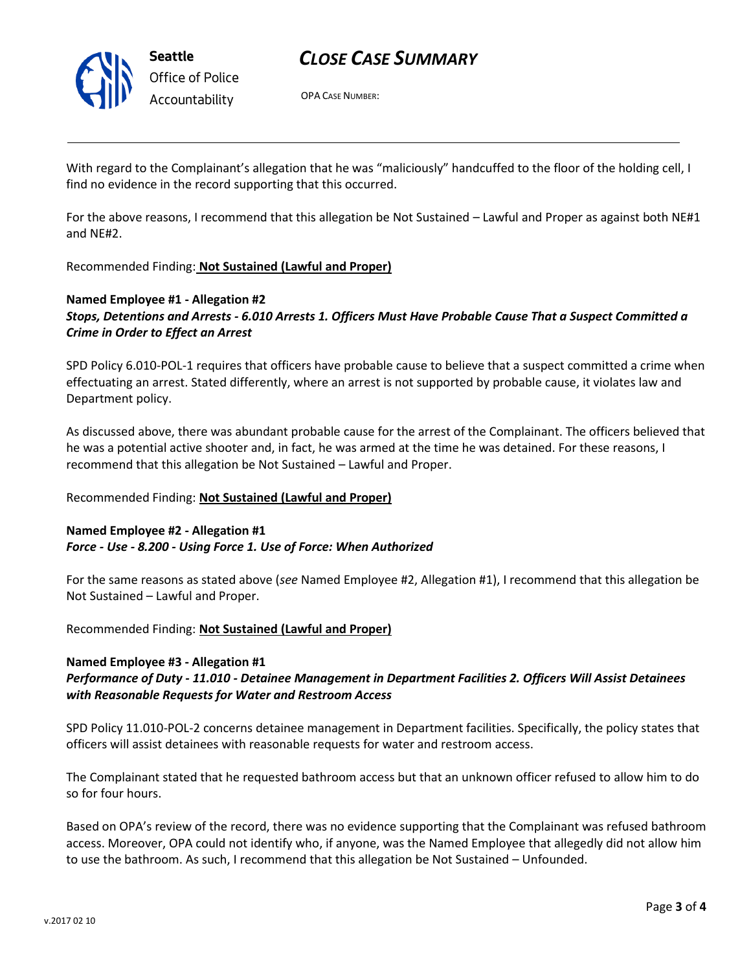

## *CLOSE CASE SUMMARY*

OPA CASE NUMBER:

With regard to the Complainant's allegation that he was "maliciously" handcuffed to the floor of the holding cell, I find no evidence in the record supporting that this occurred.

For the above reasons, I recommend that this allegation be Not Sustained – Lawful and Proper as against both NE#1 and NE#2.

Recommended Finding: **Not Sustained (Lawful and Proper)**

### **Named Employee #1 - Allegation #2** *Stops, Detentions and Arrests - 6.010 Arrests 1. Officers Must Have Probable Cause That a Suspect Committed a Crime in Order to Effect an Arrest*

SPD Policy 6.010-POL-1 requires that officers have probable cause to believe that a suspect committed a crime when effectuating an arrest. Stated differently, where an arrest is not supported by probable cause, it violates law and Department policy.

As discussed above, there was abundant probable cause for the arrest of the Complainant. The officers believed that he was a potential active shooter and, in fact, he was armed at the time he was detained. For these reasons, I recommend that this allegation be Not Sustained – Lawful and Proper.

Recommended Finding: **Not Sustained (Lawful and Proper)**

### **Named Employee #2 - Allegation #1** *Force - Use - 8.200 - Using Force 1. Use of Force: When Authorized*

For the same reasons as stated above (*see* Named Employee #2, Allegation #1), I recommend that this allegation be Not Sustained – Lawful and Proper.

Recommended Finding: **Not Sustained (Lawful and Proper)**

### **Named Employee #3 - Allegation #1**

### *Performance of Duty - 11.010 - Detainee Management in Department Facilities 2. Officers Will Assist Detainees with Reasonable Requests for Water and Restroom Access*

SPD Policy 11.010-POL-2 concerns detainee management in Department facilities. Specifically, the policy states that officers will assist detainees with reasonable requests for water and restroom access.

The Complainant stated that he requested bathroom access but that an unknown officer refused to allow him to do so for four hours.

Based on OPA's review of the record, there was no evidence supporting that the Complainant was refused bathroom access. Moreover, OPA could not identify who, if anyone, was the Named Employee that allegedly did not allow him to use the bathroom. As such, I recommend that this allegation be Not Sustained – Unfounded.